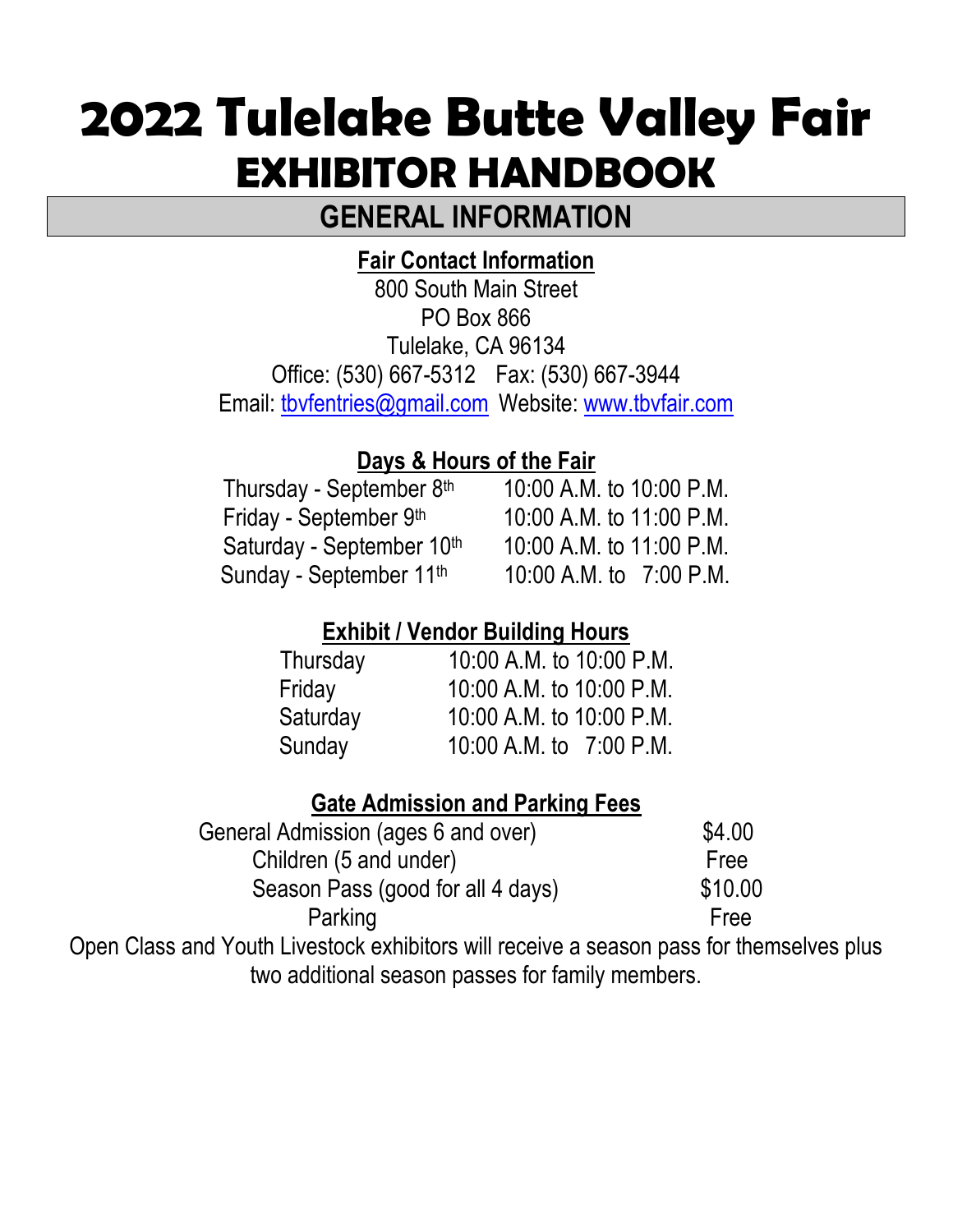# **2022 Tulelake Butte Valley Fair EXHIBITOR HANDBOOK**

# **GENERAL INFORMATION**

# **Fair Contact Information**

800 South Main Street PO Box 866 Tulelake, CA 96134 Office: (530) 667-5312 Fax: (530) 667-3944 Email: [tbvfentries@gmail.com](mailto:tbvfentries@gmail.com) Website: [www.tbvfair.com](http://www.tbvfair.com/)

### **Days & Hours of the Fair**

| Thursday - September 8th  | 10:00 A.M. to 10:00 P.M. |
|---------------------------|--------------------------|
| Friday - September 9th    | 10:00 A.M. to 11:00 P.M. |
| Saturday - September 10th | 10:00 A.M. to 11:00 P.M. |
| Sunday - September 11th   | 10:00 A.M. to 7:00 P.M.  |

## **Exhibit / Vendor Building Hours**

| 10:00 A.M. to 10:00 P.M. |
|--------------------------|
| 10:00 A.M. to 10:00 P.M. |
| 10:00 A.M. to 10:00 P.M. |
| 10.00 A.M. to 7:00 P.M.  |
|                          |

## **Gate Admission and Parking Fees**

| General Admission (ages 6 and over) | \$4.00  |
|-------------------------------------|---------|
| Children (5 and under)              | Free    |
| Season Pass (good for all 4 days)   | \$10.00 |
| Parking                             | Free    |
| $\sim$                              | . .     |

Open Class and Youth Livestock exhibitors will receive a season pass for themselves plus two additional season passes for family members.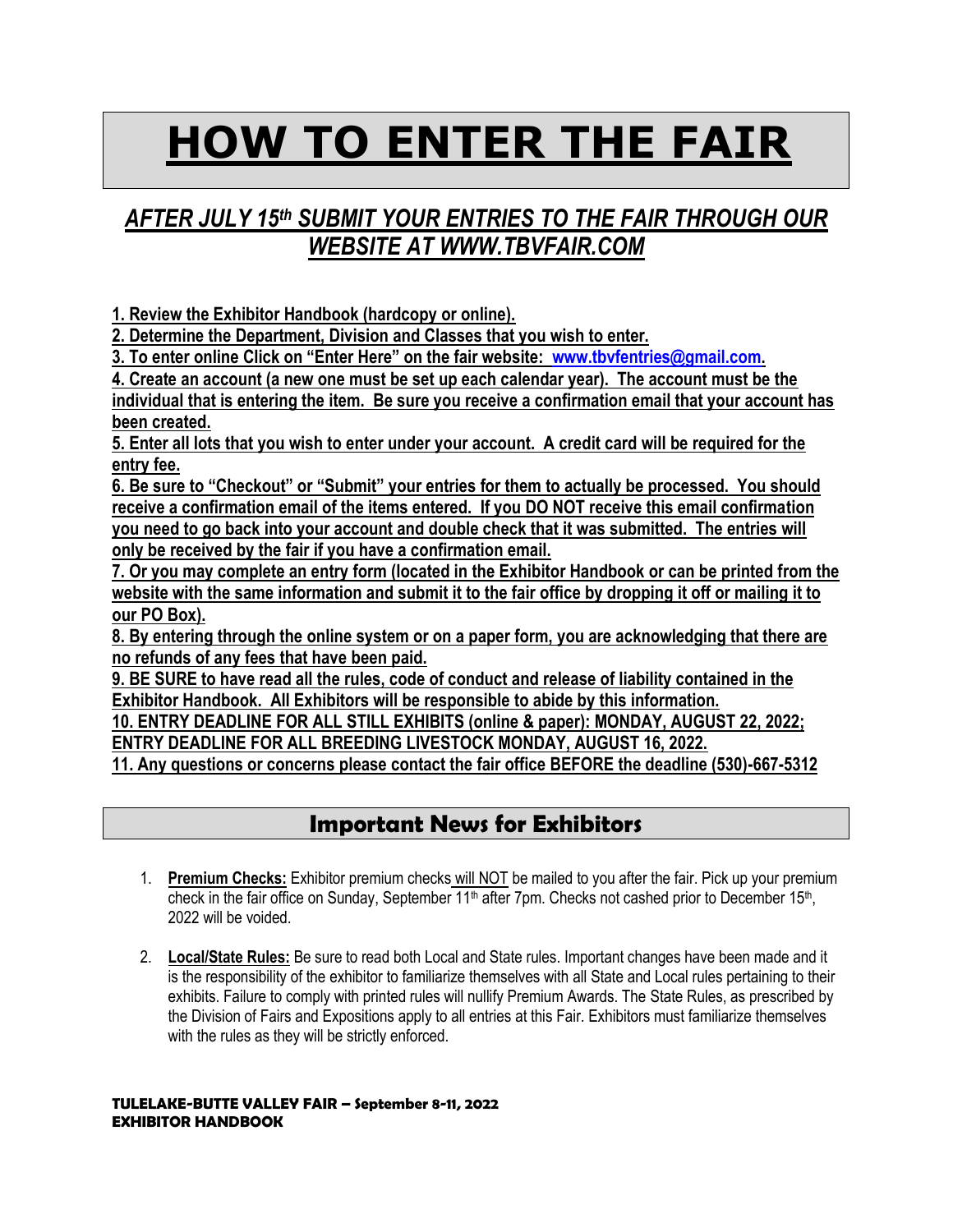# **HOW TO ENTER THE FAIR**

# *AFTER JULY 15th SUBMIT YOUR ENTRIES TO THE FAIR THROUGH OUR WEBSITE AT WWW.TBVFAIR.COM*

**1. Review the Exhibitor Handbook (hardcopy or online).** 

**2. Determine the Department, Division and Classes that you wish to enter.** 

**3. To enter online Click on "Enter Here" on the fair website: [www.tbvfentries@gmail.com.](http://www.tbvfentries@gmail.com)** 

**4. Create an account (a new one must be set up each calendar year). The account must be the individual that is entering the item. Be sure you receive a confirmation email that your account has been created.** 

**5. Enter all lots that you wish to enter under your account. A credit card will be required for the entry fee.**

**6. Be sure to "Checkout" or "Submit" your entries for them to actually be processed. You should receive a confirmation email of the items entered. If you DO NOT receive this email confirmation you need to go back into your account and double check that it was submitted. The entries will only be received by the fair if you have a confirmation email.** 

**7. Or you may complete an entry form (located in the Exhibitor Handbook or can be printed from the website with the same information and submit it to the fair office by dropping it off or mailing it to our PO Box).**

**8. By entering through the online system or on a paper form, you are acknowledging that there are no refunds of any fees that have been paid.** 

**9. BE SURE to have read all the rules, code of conduct and release of liability contained in the Exhibitor Handbook. All Exhibitors will be responsible to abide by this information.** 

**10. ENTRY DEADLINE FOR ALL STILL EXHIBITS (online & paper): MONDAY, AUGUST 22, 2022; ENTRY DEADLINE FOR ALL BREEDING LIVESTOCK MONDAY, AUGUST 16, 2022.**

**11. Any questions or concerns please contact the fair office BEFORE the deadline (530)-667-5312**

### **Important News for Exhibitors**

- 1. **Premium Checks:** Exhibitor premium checks will NOT be mailed to you after the fair. Pick up your premium check in the fair office on Sunday, September 11<sup>th</sup> after 7pm. Checks not cashed prior to December 15<sup>th</sup>, 2022 will be voided.
- 2. **Local/State Rules:** Be sure to read both Local and State rules. Important changes have been made and it is the responsibility of the exhibitor to familiarize themselves with all State and Local rules pertaining to their exhibits. Failure to comply with printed rules will nullify Premium Awards. The State Rules, as prescribed by the Division of Fairs and Expositions apply to all entries at this Fair. Exhibitors must familiarize themselves with the rules as they will be strictly enforced.

### **TULELAKE-BUTTE VALLEY FAIR – September 8-11, 2022 EXHIBITOR HANDBOOK**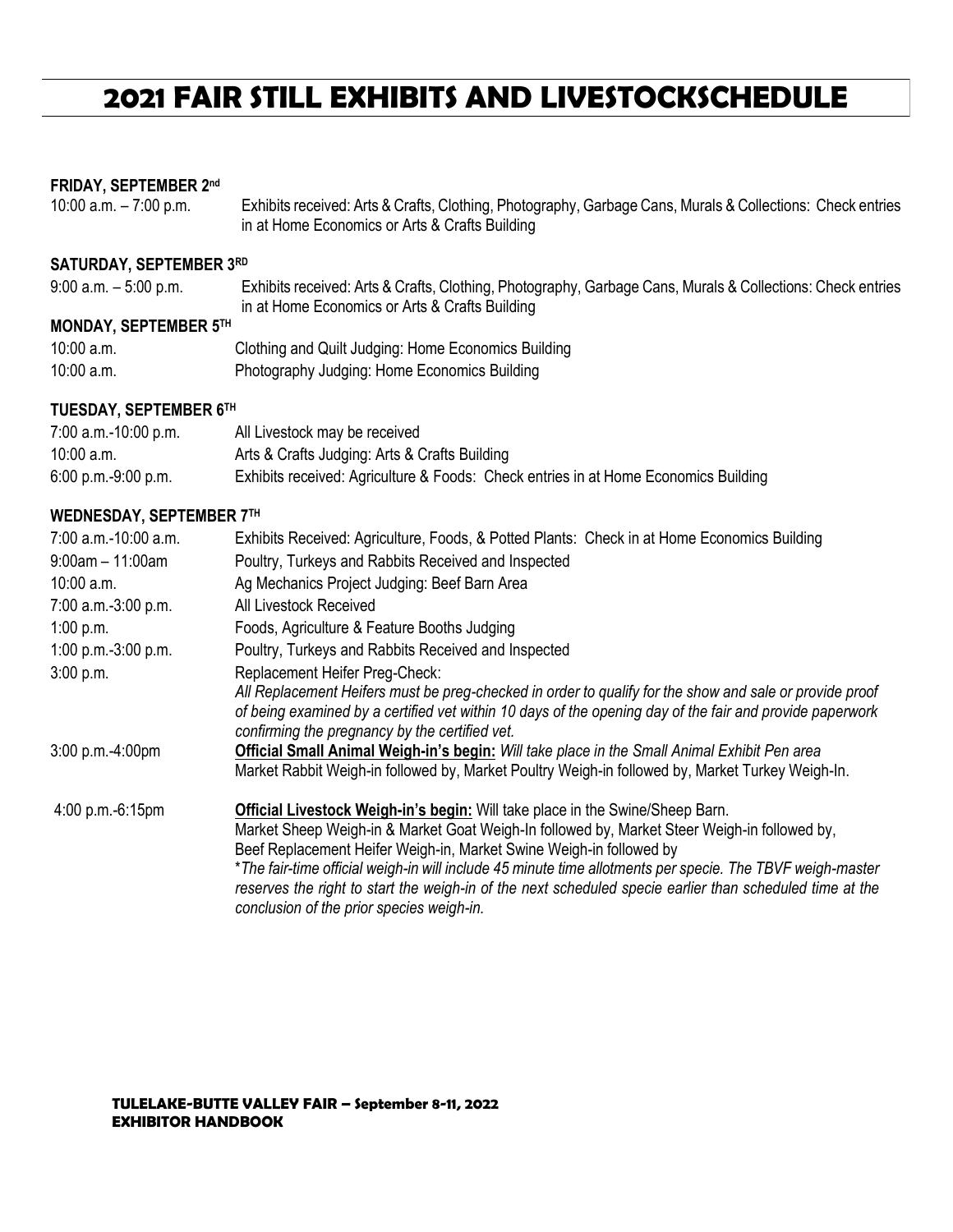# **2021 FAIR STILL EXHIBITS AND LIVESTOCKSCHEDULE**

### **FRIDAY, SEPTEMBER 2 nd**

10:00 a.m. – 7:00 p.m. Exhibits received: Arts & Crafts, Clothing, Photography, Garbage Cans, Murals & Collections: Check entries in at Home Economics or Arts & Crafts Building

#### **SATURDAY, SEPTEMBER 3 RD**

| $9:00$ a.m. $-5:00$ p.m. | Exhibits received: Arts & Crafts, Clothing, Photography, Garbage Cans, Murals & Collections: Check entries |
|--------------------------|------------------------------------------------------------------------------------------------------------|
|                          | in at Home Economics or Arts & Crafts Building                                                             |

#### **MONDAY, SEPTEMBER 5 TH**

| 10:00 a.m. | Clothing and Quilt Judging: Home Economics Building |
|------------|-----------------------------------------------------|
| 10:00 a.m. | Photography Judging: Home Economics Building        |

### **TUESDAY, SEPTEMBER 6 TH**

| $7:00$ a.m.-10:00 p.m. | All Livestock may be received                                                       |
|------------------------|-------------------------------------------------------------------------------------|
| 10:00 a.m.             | Arts & Crafts Judging: Arts & Crafts Building                                       |
| $6:00$ p.m.-9:00 p.m.  | Exhibits received: Agriculture & Foods: Check entries in at Home Economics Building |

### **WEDNESDAY, SEPTEMBER 7 TH**

| 7:00 a.m.-10:00 a.m.   | Exhibits Received: Agriculture, Foods, & Potted Plants: Check in at Home Economics Building                                                                                                                                                                                                                                                                                                                                                                                                                                |
|------------------------|----------------------------------------------------------------------------------------------------------------------------------------------------------------------------------------------------------------------------------------------------------------------------------------------------------------------------------------------------------------------------------------------------------------------------------------------------------------------------------------------------------------------------|
| $9:00$ am $-11:00$ am  | Poultry, Turkeys and Rabbits Received and Inspected                                                                                                                                                                                                                                                                                                                                                                                                                                                                        |
| $10:00$ a.m.           | Ag Mechanics Project Judging: Beef Barn Area                                                                                                                                                                                                                                                                                                                                                                                                                                                                               |
| 7:00 a.m.-3:00 p.m.    | All Livestock Received                                                                                                                                                                                                                                                                                                                                                                                                                                                                                                     |
| 1:00 p.m.              | Foods, Agriculture & Feature Booths Judging                                                                                                                                                                                                                                                                                                                                                                                                                                                                                |
| 1:00 p.m.- $3:00$ p.m. | Poultry, Turkeys and Rabbits Received and Inspected                                                                                                                                                                                                                                                                                                                                                                                                                                                                        |
| 3:00 p.m.              | Replacement Heifer Preg-Check:                                                                                                                                                                                                                                                                                                                                                                                                                                                                                             |
|                        | All Replacement Heifers must be preg-checked in order to qualify for the show and sale or provide proof<br>of being examined by a certified vet within 10 days of the opening day of the fair and provide paperwork<br>confirming the pregnancy by the certified vet.                                                                                                                                                                                                                                                      |
| $3:00$ p.m.-4:00pm     | Official Small Animal Weigh-in's begin: Will take place in the Small Animal Exhibit Pen area<br>Market Rabbit Weigh-in followed by, Market Poultry Weigh-in followed by, Market Turkey Weigh-In.                                                                                                                                                                                                                                                                                                                           |
| 4:00 p.m.-6:15pm       | Official Livestock Weigh-in's begin: Will take place in the Swine/Sheep Barn.<br>Market Sheep Weigh-in & Market Goat Weigh-In followed by, Market Steer Weigh-in followed by,<br>Beef Replacement Heifer Weigh-in, Market Swine Weigh-in followed by<br>*The fair-time official weigh-in will include 45 minute time allotments per specie. The TBVF weigh-master<br>reserves the right to start the weigh-in of the next scheduled specie earlier than scheduled time at the<br>conclusion of the prior species weigh-in. |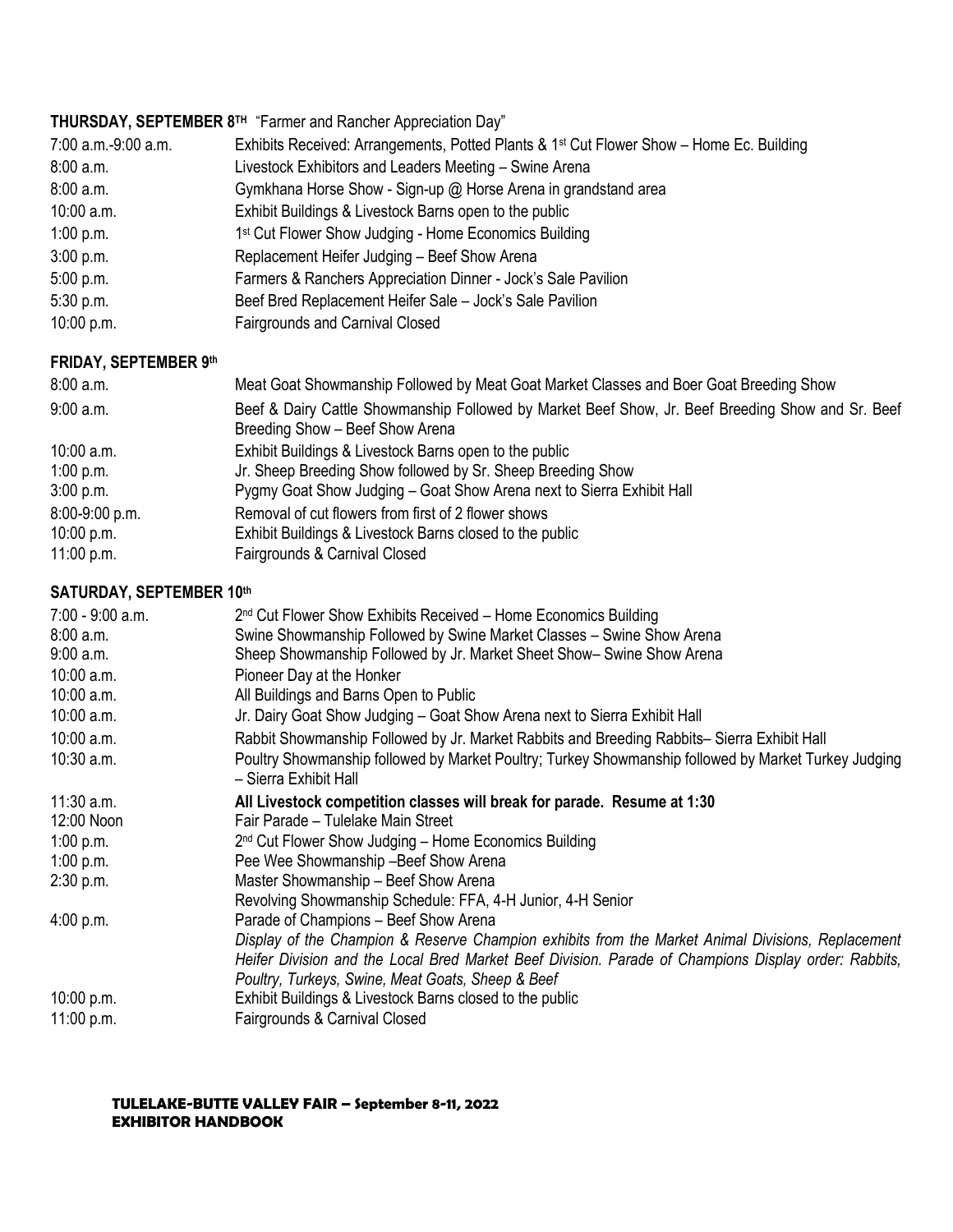|                              | THURSDAY, SEPTEMBER 8TH "Farmer and Rancher Appreciation Day"                                        |
|------------------------------|------------------------------------------------------------------------------------------------------|
| 7:00 a.m.-9:00 a.m.          | Exhibits Received: Arrangements, Potted Plants & 1 <sup>st</sup> Cut Flower Show – Home Ec. Building |
| 8:00 a.m.                    | Livestock Exhibitors and Leaders Meeting - Swine Arena                                               |
| 8:00 a.m.                    | Gymkhana Horse Show - Sign-up @ Horse Arena in grandstand area                                       |
| 10:00 a.m.                   | Exhibit Buildings & Livestock Barns open to the public                                               |
| 1:00 p.m.                    | 1 <sup>st</sup> Cut Flower Show Judging - Home Economics Building                                    |
| 3:00 p.m.                    | Replacement Heifer Judging - Beef Show Arena                                                         |
| 5:00 p.m.                    | Farmers & Ranchers Appreciation Dinner - Jock's Sale Pavilion                                        |
| 5:30 p.m.                    | Beef Bred Replacement Heifer Sale - Jock's Sale Pavilion                                             |
| 10:00 p.m.                   | <b>Fairgrounds and Carnival Closed</b>                                                               |
| <b>FRIDAY, SEPTEMBER 9th</b> |                                                                                                      |
| $0.00 - 0.0$                 | Maat Oart Okroon na kin Erlinder Han Mart Oart Madret Okroon and Darre Oart Donadium Okroo           |

| 8:00 a.m.      | Meat Goat Showmanship Followed by Meat Goat Market Classes and Boer Goat Breeding Show                                               |
|----------------|--------------------------------------------------------------------------------------------------------------------------------------|
| $9:00$ a.m.    | Beef & Dairy Cattle Showmanship Followed by Market Beef Show, Jr. Beef Breeding Show and Sr. Beef<br>Breeding Show - Beef Show Arena |
| 10:00 a.m.     | Exhibit Buildings & Livestock Barns open to the public                                                                               |
| 1:00 p.m.      | Jr. Sheep Breeding Show followed by Sr. Sheep Breeding Show                                                                          |
| 3:00 p.m.      | Pygmy Goat Show Judging – Goat Show Arena next to Sierra Exhibit Hall                                                                |
| 8:00-9:00 p.m. | Removal of cut flowers from first of 2 flower shows                                                                                  |
| 10:00 p.m.     | Exhibit Buildings & Livestock Barns closed to the public                                                                             |
| 11:00 p.m.     | Fairgrounds & Carnival Closed                                                                                                        |

### **SATURDAY, SEPTEMBER 10 th**

| 7:00 - 9:00 a.m. | 2 <sup>nd</sup> Cut Flower Show Exhibits Received – Home Economics Building                                                   |
|------------------|-------------------------------------------------------------------------------------------------------------------------------|
| 8:00a.m.         | Swine Showmanship Followed by Swine Market Classes - Swine Show Arena                                                         |
| 9:00 a.m.        | Sheep Showmanship Followed by Jr. Market Sheet Show- Swine Show Arena                                                         |
| $10:00$ a.m.     | Pioneer Day at the Honker                                                                                                     |
| $10:00$ a.m.     | All Buildings and Barns Open to Public                                                                                        |
| $10:00$ a.m.     | Jr. Dairy Goat Show Judging – Goat Show Arena next to Sierra Exhibit Hall                                                     |
| 10:00 a.m.       | Rabbit Showmanship Followed by Jr. Market Rabbits and Breeding Rabbits– Sierra Exhibit Hall                                   |
| 10:30 a.m.       | Poultry Showmanship followed by Market Poultry; Turkey Showmanship followed by Market Turkey Judging<br>- Sierra Exhibit Hall |
| $11:30$ a.m.     | All Livestock competition classes will break for parade. Resume at 1:30                                                       |
| 12:00 Noon       | Fair Parade - Tulelake Main Street                                                                                            |
| 1:00 p.m.        | 2 <sup>nd</sup> Cut Flower Show Judging – Home Economics Building                                                             |
| 1:00 p.m.        | Pee Wee Showmanship - Beef Show Arena                                                                                         |
| 2:30 p.m.        | Master Showmanship - Beef Show Arena                                                                                          |
|                  | Revolving Showmanship Schedule: FFA, 4-H Junior, 4-H Senior                                                                   |
| 4:00 p.m.        | Parade of Champions - Beef Show Arena                                                                                         |
|                  | Display of the Champion & Reserve Champion exhibits from the Market Animal Divisions, Replacement                             |
|                  | Heifer Division and the Local Bred Market Beef Division. Parade of Champions Display order: Rabbits,                          |
|                  | Poultry, Turkeys, Swine, Meat Goats, Sheep & Beef                                                                             |
| 10:00 p.m.       | Exhibit Buildings & Livestock Barns closed to the public                                                                      |
| 11:00 p.m.       | Fairgrounds & Carnival Closed                                                                                                 |

**TULELAKE-BUTTE VALLEY FAIR – September 8-11, 2022 EXHIBITOR HANDBOOK**